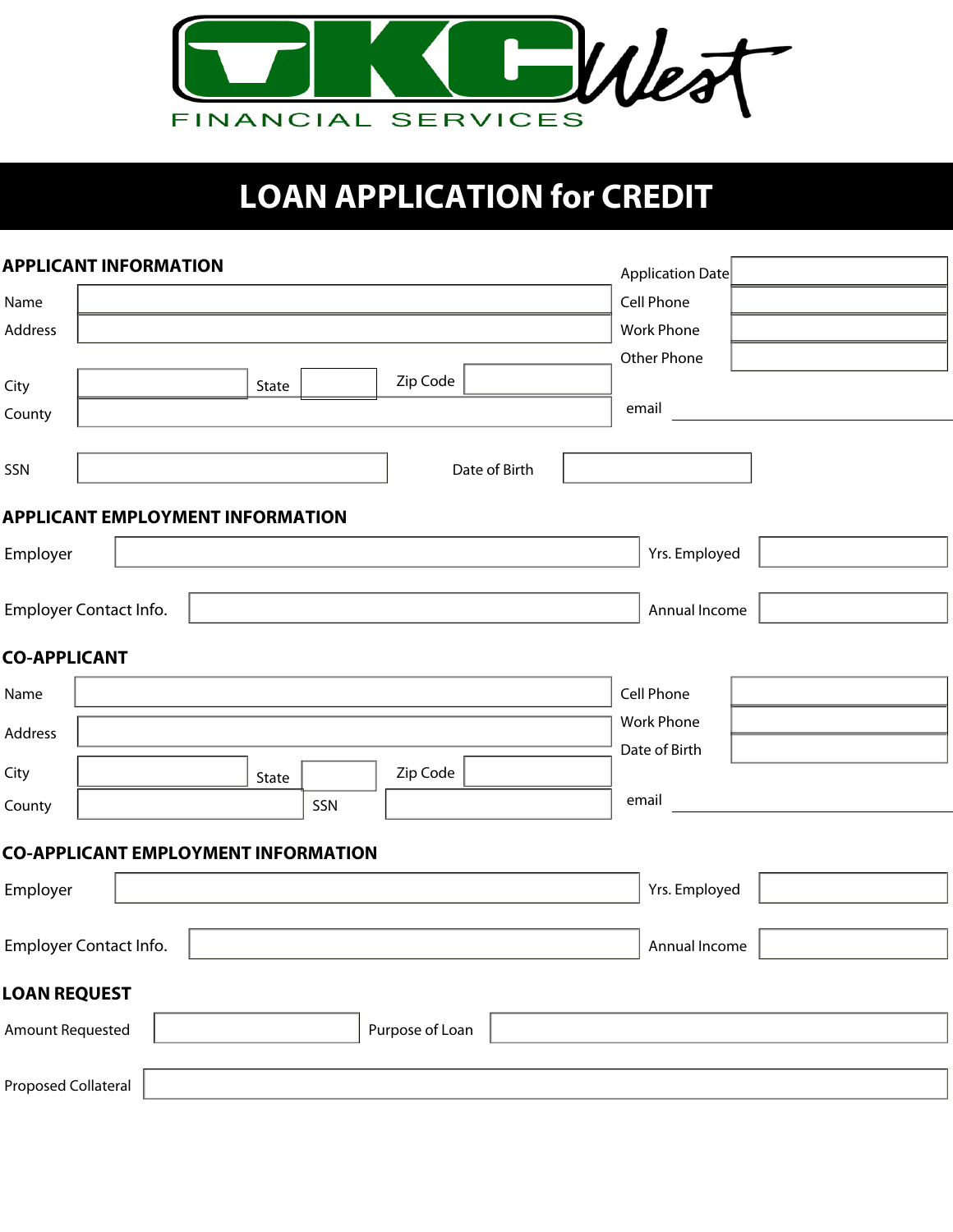

# **LOAN APPLICATION for CREDIT**

|                            | <b>APPLICANT INFORMATION</b>               |       |     |                 |               | Application Date  |  |
|----------------------------|--------------------------------------------|-------|-----|-----------------|---------------|-------------------|--|
| Name                       |                                            |       |     |                 |               | Cell Phone        |  |
| Address                    |                                            |       |     |                 |               | Work Phone        |  |
|                            |                                            |       |     |                 |               | Other Phone       |  |
| City                       |                                            | State |     | Zip Code        |               |                   |  |
| County                     |                                            |       |     |                 |               | email             |  |
| SSN                        |                                            |       |     |                 | Date of Birth |                   |  |
|                            | <b>APPLICANT EMPLOYMENT INFORMATION</b>    |       |     |                 |               |                   |  |
| Employer                   |                                            |       |     |                 |               | Yrs. Employed     |  |
|                            | Employer Contact Info.                     |       |     |                 |               | Annual Income     |  |
| <b>CO-APPLICANT</b>        |                                            |       |     |                 |               |                   |  |
| Name                       |                                            |       |     |                 |               | Cell Phone        |  |
| Address                    |                                            |       |     |                 |               | <b>Work Phone</b> |  |
|                            |                                            |       |     |                 |               | Date of Birth     |  |
| City                       |                                            | State |     | Zip Code        |               |                   |  |
| County                     |                                            |       | SSN |                 |               | email             |  |
|                            | <b>CO-APPLICANT EMPLOYMENT INFORMATION</b> |       |     |                 |               |                   |  |
| Employer                   |                                            |       |     |                 |               | Yrs. Employed     |  |
|                            | Employer Contact Info.                     |       |     |                 |               | Annual Income     |  |
| <b>LOAN REQUEST</b>        |                                            |       |     |                 |               |                   |  |
| <b>Amount Requested</b>    |                                            |       |     | Purpose of Loan |               |                   |  |
| <b>Proposed Collateral</b> |                                            |       |     |                 |               |                   |  |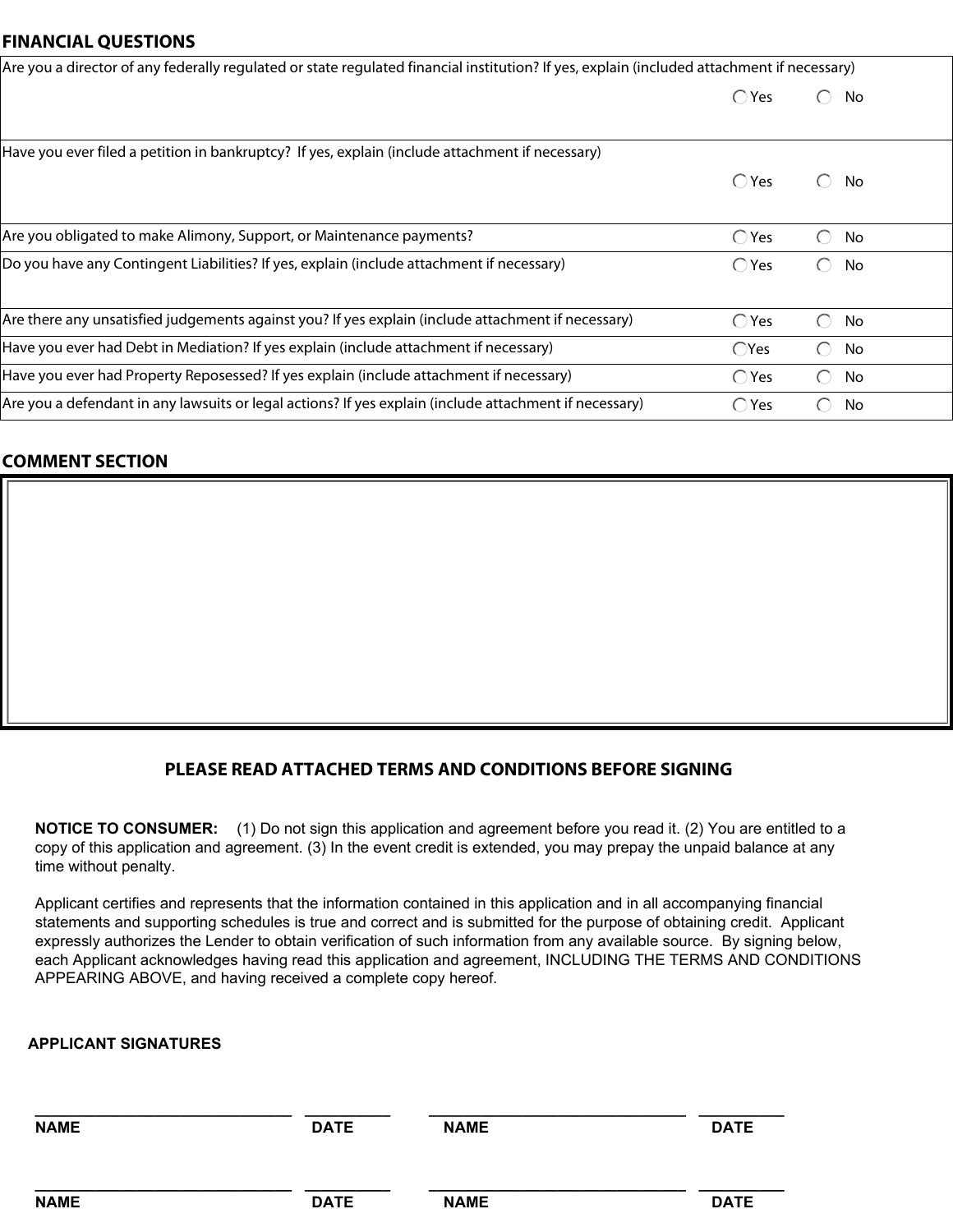#### **FINANCIAL QUESTIONS**

| Are you a director of any federally regulated or state regulated financial institution? If yes, explain (included attachment if necessary) |                |                                                     |  |  |  |
|--------------------------------------------------------------------------------------------------------------------------------------------|----------------|-----------------------------------------------------|--|--|--|
|                                                                                                                                            | $\bigcirc$ Yes | No<br>$\bigcirc$                                    |  |  |  |
|                                                                                                                                            |                |                                                     |  |  |  |
| Have you ever filed a petition in bankruptcy? If yes, explain (include attachment if necessary)                                            |                |                                                     |  |  |  |
|                                                                                                                                            | $\bigcirc$ Yes | $\bigcap$<br>No                                     |  |  |  |
|                                                                                                                                            |                |                                                     |  |  |  |
| Are you obligated to make Alimony, Support, or Maintenance payments?                                                                       | $\bigcirc$ Yes | No<br>$\left( \begin{array}{c} \end{array} \right)$ |  |  |  |
| Do you have any Contingent Liabilities? If yes, explain (include attachment if necessary)                                                  | $\bigcirc$ Yes | No<br>$(\ )$                                        |  |  |  |
|                                                                                                                                            |                |                                                     |  |  |  |
| Are there any unsatisfied judgements against you? If yes explain (include attachment if necessary)                                         | $\bigcirc$ Yes | $\bigcirc$<br>No                                    |  |  |  |
| Have you ever had Debt in Mediation? If yes explain (include attachment if necessary)                                                      | $\bigcirc$ Yes | No<br>$\bigcap$                                     |  |  |  |
| Have you ever had Property Reposessed? If yes explain (include attachment if necessary)                                                    | $\bigcirc$ Yes | No<br>$\left( \begin{array}{c} \end{array} \right)$ |  |  |  |
| Are you a defendant in any lawsuits or legal actions? If yes explain (include attachment if necessary)                                     | $\bigcirc$ Yes | No<br>$(\ )$                                        |  |  |  |
|                                                                                                                                            |                |                                                     |  |  |  |

## **COMMENT SECTION**

# **PLEASE READ ATTACHED TERMS AND CONDITIONS BEFORE SIGNING**

time without penalty. copy of this application and agreement. (3) In the event credit is extended, you may prepay the unpaid balance at any **NOTICE TO CONSUMER:** (1) Do not sign this application and agreement before you read it. (2) You are entitled to a

APPEARING ABOVE, and having received a complete copy hereof. each Applicant acknowledges having read this application and agreement, INCLUDING THE TERMS AND CONDITIONS expressly authorizes the Lender to obtain verification of such information from any available source. By signing below, statements and supporting schedules is true and correct and is submitted for the purpose of obtaining credit. Applicant Applicant certifies and represents that the information contained in this application and in all accompanying financial

### **APPLICANT SIGNATURES**

| <b>NAME</b> | <b>DATE</b> | <b>NAME</b> | <b>DATE</b> |
|-------------|-------------|-------------|-------------|
| <b>NAME</b> | <b>DATE</b> | <b>NAME</b> | <b>DATE</b> |